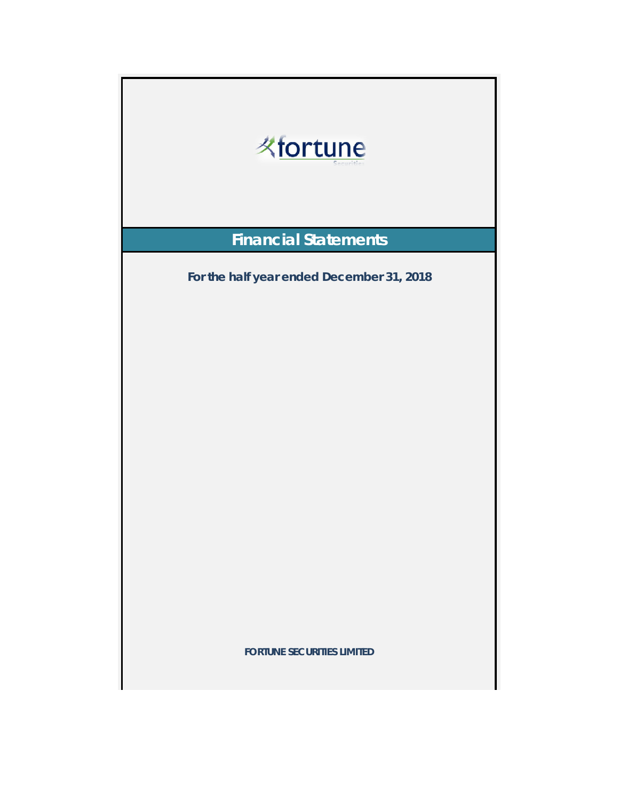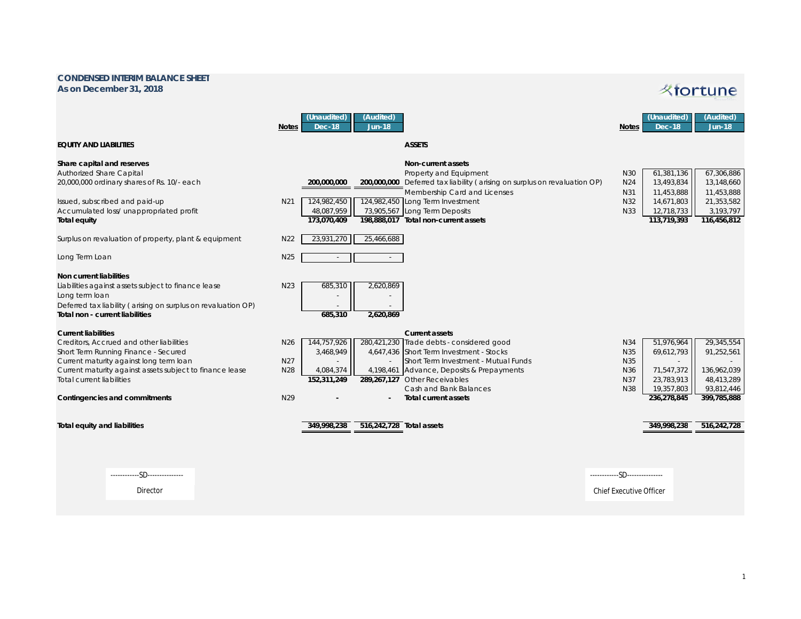## **CONDENSED INTERIM BALANCE SHEET As on December 31, 2018**

## **Kfortune**

|                                                                                                                                                                                                                      | <b>Notes</b>                              | (Unaudited)<br><b>Dec-18</b>                                   | (Audited)<br><b>Jun-18</b> |                                                                                                                                                                                                   | <b>Notes</b>                    | (Unaudited)<br><b>Dec-18</b>                                   | (Audited)<br><b>Jun-18</b>                            |
|----------------------------------------------------------------------------------------------------------------------------------------------------------------------------------------------------------------------|-------------------------------------------|----------------------------------------------------------------|----------------------------|---------------------------------------------------------------------------------------------------------------------------------------------------------------------------------------------------|---------------------------------|----------------------------------------------------------------|-------------------------------------------------------|
| equity and liabilities                                                                                                                                                                                               |                                           |                                                                |                            | <b>ASSETS</b>                                                                                                                                                                                     |                                 |                                                                |                                                       |
| Share capital and reserves<br><b>Authorized Share Capital</b><br>20,000,000 ordinary shares of Rs. 10/- each                                                                                                         |                                           | 200,000,000                                                    |                            | <b>Non-current assets</b><br>Property and Equipment<br>200,000,000 Deferred tax liability (arising on surplus on revaluation OP)<br>Membership Card and Licenses                                  | N30<br>N <sub>24</sub><br>N31   | 61,381,136<br>13,493,834<br>11,453,888                         | 67,306,886<br>13,148,660<br>11,453,888                |
| Issued, subscribed and paid-up<br>Accumulated loss/ unappropriated profit<br><b>Total equity</b>                                                                                                                     | N <sub>21</sub>                           | 124,982,450<br>48,087,959<br>173,070,409                       |                            | 124,982,450 Long Term Investment<br>73,905,567 Long Term Deposits<br>198,888,017 Total non-current assets                                                                                         | N32<br>N33                      | 14,671,803<br>12,718,733<br>113,719,393                        | 21,353,582<br>3,193,797<br>116,456,812                |
| Surplus on revaluation of property, plant & equipment                                                                                                                                                                | N <sub>22</sub>                           | 23,931,270                                                     | 25,466,688                 |                                                                                                                                                                                                   |                                 |                                                                |                                                       |
| Long Term Loan                                                                                                                                                                                                       | N <sub>25</sub>                           | $\sim$                                                         | $\sim$                     |                                                                                                                                                                                                   |                                 |                                                                |                                                       |
| <b>Non current liabilities</b><br>Liabilities against assets subject to finance lease<br>Long term loan<br>Deferred tax liability (arising on surplus on revaluation OP)<br>Total non - current liabilities          | N <sub>23</sub>                           | 685,310<br>685,310                                             | 2,620,869<br>2,620,869     |                                                                                                                                                                                                   |                                 |                                                                |                                                       |
| <b>Current liabilities</b>                                                                                                                                                                                           |                                           |                                                                |                            | <b>Current assets</b>                                                                                                                                                                             |                                 |                                                                |                                                       |
| Creditors, Accrued and other liabilities<br>Short Term Running Finance - Secured<br>Current maturity against long term loan<br>Current maturity against assets subject to finance lease<br>Total current liabilities | N <sub>26</sub><br>N <sub>27</sub><br>N28 | 144,757,926<br>3,468,949<br>$\sim$<br>4,084,374<br>152,311,249 | 4,198,461                  | 280,421,230 Trade debts - considered good<br>4,647,436 Short Term Investment - Stocks<br>Short Term Investment - Mutual Funds<br>Advance, Deposits & Prepayments<br>289,267,127 Other Receivables | N34<br>N35<br>N35<br>N36<br>N37 | 51,976,964<br>69,612,793<br>$\sim$<br>71,547,372<br>23,783,913 | 29,345,554<br>91,252,561<br>136,962,039<br>48,413,289 |
| <b>Contingencies and commitments</b>                                                                                                                                                                                 | N29                                       |                                                                |                            | Cash and Bank Balances<br><b>Total current assets</b>                                                                                                                                             | N38                             | 19,357,803<br>236,278,845                                      | 93,812,446<br>399,785,888                             |
| <b>Total equity and liabilities</b>                                                                                                                                                                                  |                                           | 349,998,238                                                    | 516,242,728 Total assets   |                                                                                                                                                                                                   |                                 | 349,998,238                                                    | 516,242,728                                           |
| ------------SD---------------                                                                                                                                                                                        |                                           |                                                                |                            |                                                                                                                                                                                                   | ------------SD---------------   |                                                                |                                                       |
| Director                                                                                                                                                                                                             |                                           |                                                                |                            |                                                                                                                                                                                                   | <b>Chief Executive Officer</b>  |                                                                |                                                       |